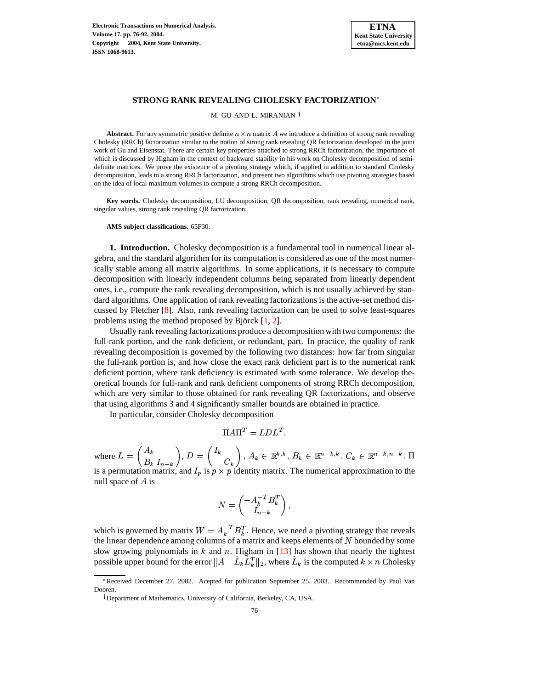

# **STRONG RANK REVEALING CHOLESKY FACTORIZATION**

M. GU AND L. MIRANIAN

**Abstract.** For any symmetric positive definite  $n \times n$  matrix A we introduce a definition of strong rank revealing Cholesky (RRCh) factorization similar to the notion of strong rank revealing QR factorization developed in the joint work of Gu and Eisenstat. There are certain key properties attached to strong RRCh factorization, the importance of which is discussed by Higham in the context of backward stability in his work on Cholesky decomposition of semidefinite matrices. We prove the existence of a pivoting strategy which, if applied in addition to standard Cholesky decomposition, leads to a strong RRCh factorization, and present two algorithms which use pivoting strategies based on the idea of local maximum volumes to compute a strong RRCh decomposition.

**Key words.** Cholesky decomposition, LU decomposition, QR decomposition, rank revealing, numerical rank, singular values, strong rank revealing QR factorization.

**AMS subject classifications.** 65F30.

**1. Introduction.** Cholesky decomposition is a fundamental tool in numerical linear algebra, and the standard algorithm for its computation is considered as one of the most numerically stable among all matrix algorithms. In some applications, it is necessary to compute decomposition with linearly independent columns being separated from linearly dependent ones, i.e., compute the rank revealing decomposition, which is not usually achieved by standard algorithms. One application of rank revealing factorizations is the active-set method discussed by Fletcher [\[8\]](#page-15-0). Also, rank revealing factorization can be used to solve least-squares problems using the method proposed by Björck  $[1, 2]$  $[1, 2]$  $[1, 2]$ .

Usually rank revealing factorizations produce a decomposition with two components: the full-rank portion, and the rank deficient, or redundant, part. In practice, the quality of rank revealing decomposition is governed by the following two distances: how far from singular the full-rank portion is, and how close the exact rank deficient part is to the numerical rank deficient portion, where rank deficiency is estimated with some tolerance. We develop theoretical bounds for full-rank and rank deficient components of strong RRCh decomposition, which are very similar to those obtained for rank revealing QR factorizations, and observe that using algorithms 3 and 4 significantly smaller bounds are obtained in practice.

In particular, consider Cholesky decomposition

$$
\Pi A \Pi^T = L D L^T,
$$

where  $L = \begin{pmatrix} A_k \\ D & I \end{pmatrix}$ ,  $D = \begin{pmatrix} I_k \\ C \end{pmatrix}$ ,  $A_k \in \mathbb{R}^{k,k}$ ,  $B_k \in \mathbb{R}^{n-k,k}$ ,  $C_k \in \mathbb{R}^{n-k,n-k}$ ,  $\Pi$ 

is a permutation matrix, and  $I_p$  is  $p \times p$  identity matrix. The numerical approximation to the null space of  $A$  is

$$
N = \begin{pmatrix} -A_k^{-T}B_k^T \\ I_{n-k} \end{pmatrix},
$$

which is governed by matrix  $W = A_k^{-T} B_k^T$ . Hence, we need a pivoting strategy that reveals the linear dependence among columns of a matrix and keeps elements of N bounded by some the linear dependence among columns of a matrix and keeps elements of  $N$  bounded by some slow growing polynomials in  $k$  and  $n$ . Higham in [\[13\]](#page-16-0) has shown that nearly the tightest possible upper bound for the error  $||A - L_k L_k^T||_2$ , where  $L_k$  is the computed  $k \times n$  Cholesky

<sup>\*</sup>Received December 27, 2002. Acepted for publication September 25, 2003. Recommended by Paul Van Dooren.

Department of Mathematics, University of California, Berkeley, CA, USA.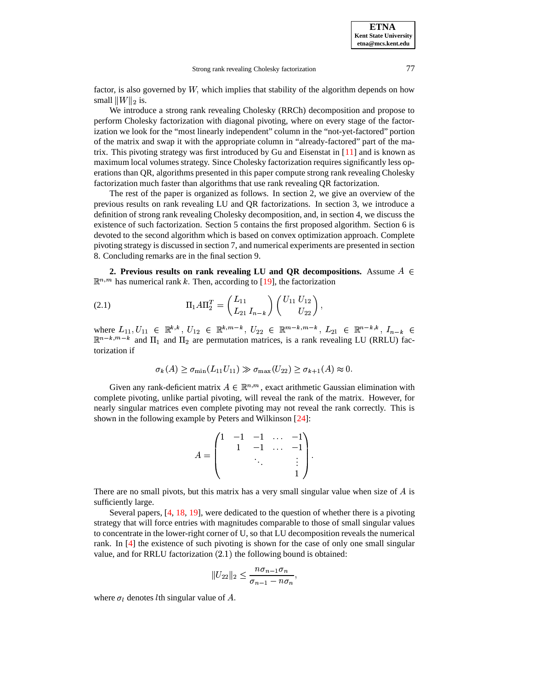factor, is also governed by  $W$ , which implies that stability of the algorithm depends on how small  $||W||_2$  is.

We introduce a strong rank revealing Cholesky (RRCh) decomposition and propose to perform Cholesky factorization with diagonal pivoting, where on every stage of the factorization we look for the "most linearly independent" column in the "not-yet-factored" portion of the matrix and swap it with the appropriate column in "already-factored" part of the matrix. This pivoting strategy was first introduced by Gu and Eisenstat in  $[11]$  and is known as maximum local volumes strategy. Since Cholesky factorization requires significantly less operations than QR, algorithms presented in this paper compute strong rank revealing Cholesky factorization much faster than algorithms that use rank revealing QR factorization.

The rest of the paper is organized as follows. In section 2, we give an overview of the previous results on rank revealing LU and QR factorizations. In section 3, we introduce a definition of strong rank revealing Cholesky decomposition, and, in section 4, we discuss the existence of such factorization. Section 5 contains the first proposed algorithm. Section 6 is devoted to the second algorithm which is based on convex optimization approach. Complete pivoting strategy is discussed in section 7, and numerical experiments are presented in section 8. Concluding remarks are in the final section 9.

**2.** Previous results on rank revealing LU and QR decompositions. Assume  $A \in$  $\mathbb{R}^{n,m}$  has numerical rank k. Then, according to [\[19\]](#page-16-1), the factorization

(2.1) 
$$
\Pi_1 A \Pi_2^T = \begin{pmatrix} L_{11} \\ L_{21} \ I_{n-k} \end{pmatrix} \begin{pmatrix} U_{11} \ U_{12} \\ U_{22} \end{pmatrix},
$$

where  $L_{11}, U_{11} \in \mathbb{R}^{k,k}, U_{12} \in \mathbb{R}^{k,m-k}, U_{22} \in \mathbb{R}^{m-k,m-k}, L_{21} \in \mathbb{R}^{n-k,k}, I_{n-k} \in$  $\overline{\mathbb{R}^{n-k}}$ ,  $\overline{\mathbb{R}^{n-k}}$  and  $\Pi_1$  and  $\Pi_2$  are permutation matrices, is a rank revealing LU (RRLU) factorization if

$$
\sigma_k(A) \ge \sigma_{\min}(L_{11}U_{11}) \gg \sigma_{\max}(U_{22}) \ge \sigma_{k+1}(A) \approx 0.
$$

Given any rank-deficient matrix  $A \in \mathbb{R}^{n,m}$ , exact arithmetic Gaussian elimination with complete pivoting, unlike partial pivoting, will reveal the rank of the matrix. However, for nearly singular matrices even complete pivoting may not reveal the rank correctly. This is shown in the following example by Peters and Wilkinson [\[24\]](#page-16-2):

$$
A = \begin{pmatrix} 1 & -1 & -1 & \dots & -1 \\ & 1 & -1 & \dots & -1 \\ & & \ddots & & \vdots \\ & & & 1 \end{pmatrix}.
$$

There are no small pivots, but this matrix has a very small singular value when size of  $\vec{A}$  is sufficiently large.

Several papers, [\[4,](#page-15-4) [18,](#page-16-3) [19\]](#page-16-1), were dedicated to the question of whether there is a pivoting strategy that will force entries with magnitudes comparable to those of small singular values to concentrate in the lower-right corner of U, so that LU decomposition reveals the numerical rank. In [\[4\]](#page-15-4) the existence of such pivoting is shown for the case of only one small singular value, and for RRLU factorization  $(2.1)$  the following bound is obtained:

$$
||U_{22}||_2 \leq \frac{n\sigma_{n-1}\sigma_n}{\sigma_{n-1} - n\sigma_n},
$$

where  $\sigma_l$  denotes *l*th singular value of *A*.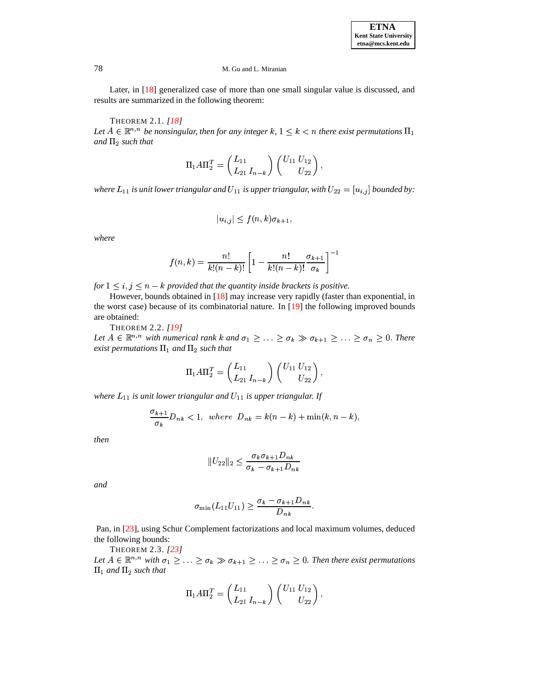Later, in [\[18\]](#page-16-3) generalized case of more than one small singular value is discussed, and results are summarized in the following theorem:

THEOREM 2.1. *[\[18\]](#page-16-3)* ,

Let  $A \in \mathbb{R}^{n,n}$  be nonsingular, then for any integer k,  $1 \leq k < n$  there exist permutations  $\Pi_1$ and  $\Pi_2$  such that

$$
\Pi_1 A \Pi_2^T = \begin{pmatrix} L_{11} \\ L_{21} & I_{n-k} \end{pmatrix} \begin{pmatrix} U_{11} & U_{12} \\ U_{22} \end{pmatrix},
$$

where  $L_{11}$  is unit lower triangular and  $U_{11}$  is upper triangular, with  $U_{22} = [u_{i,j}]$  bounded by:

$$
|u_{i,j}| \le f(n,k)\sigma_{k+1},
$$

*where*

$$
f(n,k)=\frac{n!}{k!(n-k)!}\left[1-\frac{n!}{k!(n-k)!}\frac{\sigma_{k+1}}{\sigma_k}\right]^{-1}
$$

*for*  $1 \leq i, j \leq n - k$  *provided that the quantity inside brackets is positive.* 

However, bounds obtained in [\[18\]](#page-16-3) may increase very rapidly (faster than exponential, in the worst case) because of its combinatorial nature. In [\[19\]](#page-16-1) the following improved bounds are obtained:

THEOREM 2.2. *[\[19\]](#page-16-1)*

Let  $A \in \mathbb{R}^{n,n}$  with numerical rank k and  $\sigma_1 \geq \ldots \geq \sigma_k \gg \sigma_{k+1} \geq \ldots \geq \sigma_n \geq 0$ . There  $e$ xist permutations  $\Pi_1$  and  $\Pi_2$  such that

$$
\Pi_1 A \Pi_2^T = \begin{pmatrix} L_{11} \\ L_{21} \ I_{n-k} \end{pmatrix} \begin{pmatrix} U_{11} \ U_{12} \\ U_{22} \end{pmatrix},
$$

where  $L_{11}$  is unit lower triangular and  $U_{11}$  is upper triangular. If

$$
\frac{\sigma_{k+1}}{\sigma_k}D_{nk}<1,\ \ where\ \ D_{nk}=k(n-k)+\min(k,n-k),
$$

*then*

$$
||U_{22}||_2 \leq \frac{\sigma_k \sigma_{k+1}D_{nk}}{\sigma_k - \sigma_{k+1}D_{nk}}
$$

*and*

$$
\sigma_{\min}(L_{11}U_{11})\geq \frac{\sigma_k-\sigma_{k+1}D_{nk}}{D_{nk}}.
$$

Pan, in [\[23\]](#page-16-4), using Schur Complement factorizations and local maximum volumes, deduced the following bounds:

THEOREM 2.3. *[\[23\]](#page-16-4)* 0, Let  $A \in \mathbb{R}^{n,n}$  with  $\sigma_1 \geq \ldots \geq \sigma_k \gg \sigma_{k+1} \geq \ldots \geq \sigma_n \geq 0$ . Then there exist permutations  $\Pi_1$  and  $\Pi_2$  such that

$$
\Pi_1 A \Pi_2^T = \begin{pmatrix} L_{11} \\ L_{21} \end{pmatrix} \begin{pmatrix} U_{11} \ U_{12} \\ U_{22} \end{pmatrix},
$$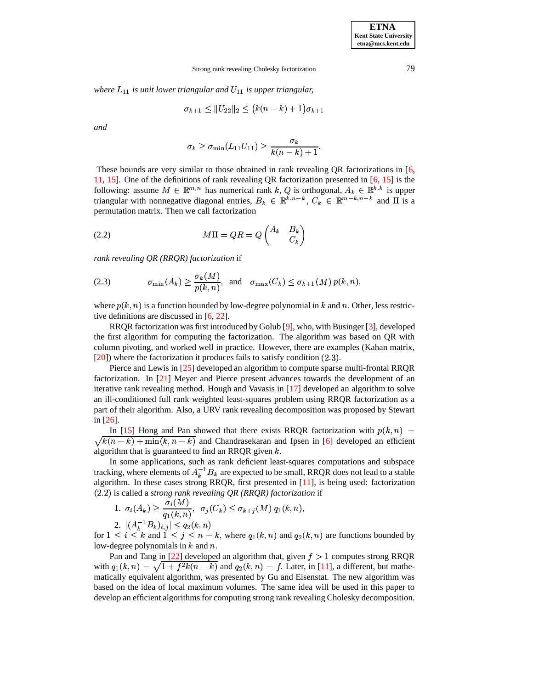$w$ *here*  $L_{11}$  *is unit lower triangular and*  $U_{11}$  *is upper triangular,* 

$$
\sigma_{k+1} \leq \|U_{22}\|_2 \leq (k(n-k)+1)\sigma_{k+1}
$$

*and*

$$
\sigma_k \geq \sigma_{\min}(L_{11}U_{11}) \geq \frac{\sigma_k}{k(n-k)+1}.
$$

These bounds are very similar to those obtained in rank revealing QR factorizations in [\[6,](#page-15-5) [11,](#page-15-3) [15\]](#page-16-5). One of the definitions of rank revealing QR factorization presented in  $[6, 15]$  $[6, 15]$  is the following: assume  $M \in \mathbb{R}^{m,n}$  has numerical rank k, Q is orthogonal,  $A_k \in \mathbb{R}^{k,k}$  is upper triangular with nonnegative diagonal entries,  $B_k \in \mathbb{R}^{k,n-k}$ ,  $C_k \in \mathbb{R}^{m-k,n-k}$  and  $\Pi$  is a permutation matrix. Then we call factorization

(2.2) 
$$
M\Pi = QR = Q \begin{pmatrix} A_k & B_k \\ C_k \end{pmatrix}
$$

*rank revealing QR (RRQR) factorization* if

(2.3) 
$$
\sigma_{\min}(A_k) \ge \frac{\sigma_k(M)}{p(k,n)}, \text{ and } \sigma_{\max}(C_k) \le \sigma_{k+1}(M) p(k,n),
$$

where  $p(k, n)$  is a function bounded by low-degree polynomial in k and n. Other, less restrictive definitions are discussed in [\[6,](#page-15-5) [22\]](#page-16-6).

RRQR factorization was first introduced by Golub [\[9\]](#page-15-6), who, with Businger [\[3\]](#page-15-7), developed the first algorithm for computing the factorization. The algorithm was based on QR with column pivoting, and worked well in practice. However, there are examples (Kahan matrix,  $[20]$ ) where the factorization it produces fails to satisfy condition  $(2.3)$ .

Pierce and Lewis in [\[25\]](#page-16-8) developed an algorithm to compute sparse multi-frontal RRQR factorization. In [\[21\]](#page-16-9) Meyer and Pierce present advances towards the development of an iterative rank revealing method. Hough and Vavasis in [\[17\]](#page-16-10) developed an algorithm to solve an ill-conditioned full rank weighted least-squares problem using RRQR factorization as a part of their algorithm. Also, a URV rank revealing decomposition was proposed by Stewart in [\[26\]](#page-16-11).

In [\[15\]](#page-16-5) Hong and Pan showed that there exists RRQR factorization with  $p(k,n) =$   $k(n-k) + \min(k, n-k)$  and Chandrasekaran and Ipsen in [\[6\]](#page-15-5) developed an efficient algorithm that is guaranteed to find an RRQR given  $k$ .

In some applications, such as rank deficient least-squares computations and subspace tracking, where elements of  $A_k^{-1}B_k$  are expected to be small, RRQR does not lead to a stable algorithm. In these cases strong RRQR, first presented in [\[11\]](#page-15-3), is being used: factorization (2.2) is called a *strong rank revealing QR (RRQR) factorization* if

1. 
$$
\sigma_i(A_k) \ge \frac{\sigma_i(M)}{q_1(k,n)}, \ \sigma_j(C_k) \le \sigma_{k+j}(M) \ q_1(k,n),
$$
  
2.  $|(A_k^{-1}B_k)_{i,j}| \le q_2(k,n)$ 

for  $1 \leq i \leq k$  and  $1 \leq j \leq n-k$ , where  $q_1(k,n)$  and  $q_2(k,n)$  are functions bounded by low-degree polynomials in  $k$  and  $n$ .

Pan and Tang in  $[22]$  developed an algorithm that, given  $f > 1$  computes strong RRQR with  $q_1(k,n) = \sqrt{1 + f^2k(n-k)}$  and  $q_2(k,n) = f$ . Later, in [\[11\]](#page-15-3), a different, but mathematically equivalent algorithm, was presented by Gu and Eisenstat. The new algorithm was based on the idea of local maximum volumes. The same idea will be used in this paper to develop an efficient algorithms for computing strong rank revealing Cholesky decomposition.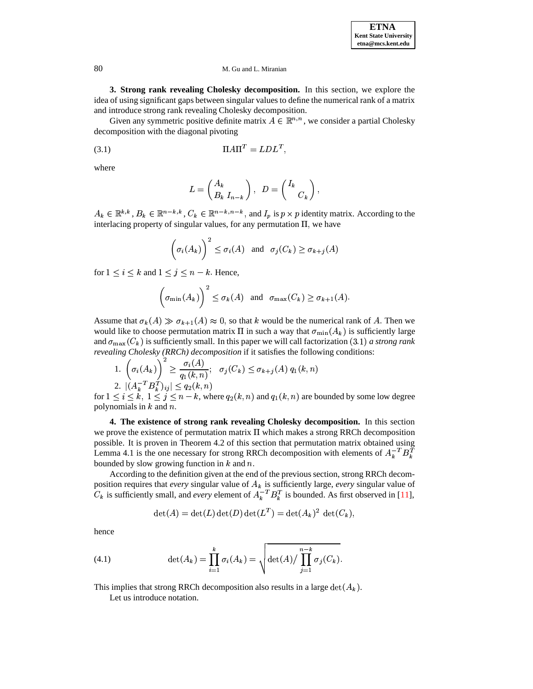**3. Strong rank revealing Cholesky decomposition.** In this section, we explore the idea of using significant gaps between singular values to define the numerical rank of a matrix and introduce strong rank revealing Cholesky decomposition.

Given any symmetric positive definite matrix  $A \in \mathbb{R}^{n,n}$ , we consider a partial Cholesky decomposition with the diagonal pivoting

$$
(3.1)\t\t\t\Pi A\Pi^T = LDL^T,
$$

where

$$
L=\begin{pmatrix} A_k \\ B_k\; I_{n-k} \end{pmatrix},\;\; D=\begin{pmatrix} I_k \\ C_k \end{pmatrix},
$$

 $A_k \in \mathbb{R}^{k,k}, B_k \in \mathbb{R}^{n-k,k}, C_k \in \mathbb{R}^{n-k,n-k},$  $a_k \in \mathbb{R}^{n-k,n-k}$ , and  $I_p$  is  $p \times p$  identity matrix. According to the interlacing property of singular values, for any permutation  $\Pi$ , we have

$$
\left(\sigma_i(A_k)\right)^2 \leq \sigma_i(A) \quad \text{and} \quad \sigma_j(C_k) \geq \sigma_{k+j}(A)
$$

for  $1 \leq i \leq k$  and  $1 \leq j \leq n-k$ . Hence,

$$
\left(\sigma_{\min}(A_k)\right)^2 \leq \sigma_k(A) \quad \text{and} \quad \sigma_{\max}(C_k) \geq \sigma_{k+1}(A).
$$

Assume that  $\sigma_k(A) \gg \sigma_{k+1}(A) \approx 0$ , so that k would be the numerical rank of A. Then we would like to choose permutation matrix  $\Pi$  in such a way that  $\sigma_{\min}(A_k)$  is sufficiently large and  $\sigma_{\max}(C_k)$  is sufficiently small. In this paper we will call factorization (3.1) *a strong rank*  $\mathbf{k}$ ) is sufficiently small. In this paper we will call factorization  $(3.1)$  *a strong rank* 

revealing Cholesky (RRCh) decomposition if it satisfies the following conditions:  
\n1. 
$$
\left(\sigma_i(A_k)\right)^2 \ge \frac{\sigma_i(A)}{q_1(k,n)}; \quad \sigma_j(C_k) \le \sigma_{k+j}(A) \ q_1(k,n)
$$
  
\n2.  $\left|\left(A_k^{-T} B_k^{T}\right)_{ij}\right| \le q_2(k,n)$ 

for  $1 \leq i \leq k$ ,  $1 \leq j \leq n-k$ , where  $q_2(k,n)$  and  $q_1(k,n)$  are bounded by some low degree polynomials in  $k$  and  $n$ .

**4. The existence of strong rank revealing Cholesky decomposition.** In this section we prove the existence of permutation matrix  $\Pi$  which makes a strong RRCh decomposition possible. It is proven in Theorem 4.2 of this section that permutation matrix obtained using Lemma 4.1 is the one necessary for strong RRCh decomposition with elements of  $A_k^{-T}B_k^T$ bounded by slow growing function in  $k$  and  $n$ .

According to the definition given at the end of the previous section, strong RRCh decomposition requires that *every* singular value of  $A_k$  is sufficiently large, *every* singular value of k is sufficiently small, and *every* element of  $A_k^{-T}B_k^T$  is bounded. As first observed in [\[11\]](#page-15-3), and the contract of the contract of the contract of the contract of the contract of the contract of the contract of the contract of the contract of the contract of the contract of the contract of the contract of the contra

$$
\det(A) = \det(L) \det(D) \det(L^T) = \det(A_k)^2 \det(C_k),
$$

hence

(4.1) 
$$
\det(A_k) = \prod_{i=1}^k \sigma_i(A_k) = \sqrt{\det(A)/\prod_{j=1}^{n-k} \sigma_j(C_k)}.
$$

This implies that strong RRCh decomposition also results in a large  $\det(A_k)$ .

Let us introduce notation.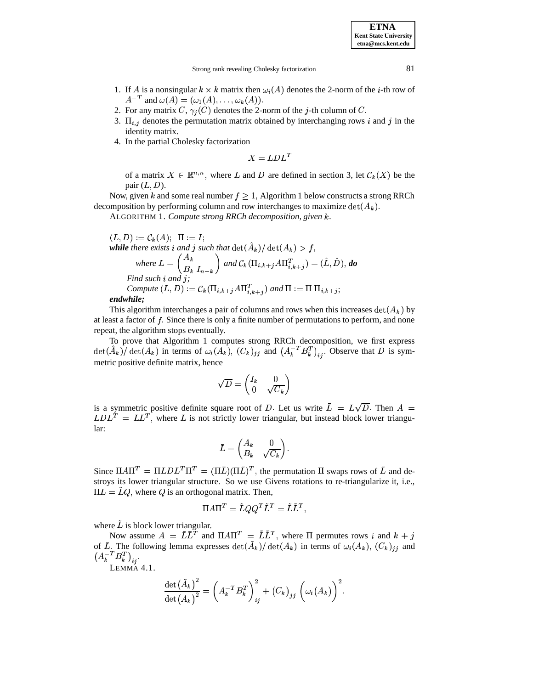Strong rank revealing Cholesky factorization 81

- 1. If A is a nonsingular  $k \times k$  matrix then  $\omega_i(A)$  denotes the 2-norm of the *i*-th row of  $A^{-T}$  and  $\omega(A) = (\omega_1(A), \dots, \omega_k(A)).$  $A^{-T}$  and  $\omega(A) = (\omega_1(A), \dots, \omega_k(A)).$ <br>2. For any matrix  $C, \gamma_j(C)$  denotes the 2-norm of the *j*-th column of  $C$ .
- 
- 3.  $\Pi_{i,j}$  denotes the permutation matrix obtained by interchanging rows i and j in the identity matrix.
- 4. In the partial Cholesky factorization

- 

of a matrix  $X \in \mathbb{R}^{n,n}$ , where L and D are defined in section 3, let  $\mathcal{C}_k(X)$  be the pair  $(L, D)$ .

Now, given k and some real number  $f \geq 1$ , Algorithm 1 below constructs a strong RRCh decomposition by performing column and row interchanges to maximize  $\det(A_k)$ .

ALGORITHM 1. *Compute strong RRCh decomposition, given k.* 

$$
(L, D) := C_k(A); \ \Pi := I;
$$
  
while there exists  $i$  and  $j$  such that  $det(\hat{A}_k) / det(A_k) > f$ ,  

$$
where \ L = \begin{pmatrix} A_k \\ B_k & I_{n-k} \end{pmatrix} and C_k(\Pi_{i,k+j} A \Pi_{i,k+j}^T) = (\hat{L}, \hat{D}), do
$$
  
Find such  $i$  and  $j$ ;  
Compute  $(L, D) := C_k(\Pi_{i,k+j} A \Pi_{i,k+j}^T)$  and  $\Pi := \Pi \Pi_{i,k+j}$ ;  
endwhile:

# *endwhile;*

This algorithm interchanges a pair of columns and rows when this increases  $\det(A_k)$  by at least a factor of  $f$ . Since there is only a finite number of permutations to perform, and none repeat, the algorithm stops eventually.

To prove that Algorithm 1 computes strong RRCh decomposition, we first express  $\det(A_k) / \det(A_k)$  in terms of  $\omega_i(A_k)$ ,  $(C_k)_{ij}$  and  $(A_k^{-T}B_k^{T})_{ii}$ . Observe that D is symmetric positive definite matrix, hence

$$
\sqrt{D} = \begin{pmatrix} I_k & 0 \\ 0 & \sqrt{C_k} \end{pmatrix}
$$

is a symmetric positive definite square root of D. Let us write  $\bar{L} = L\sqrt{D}$ . Then  $A =$  $LDL<sup>T</sup> = LL<sup>T</sup>$ , where L is not strictly lower triangular, but instead block lower triangular:

$$
\bar{L} = \begin{pmatrix} A_k & 0 \\ B_k & \sqrt{C_k} \end{pmatrix}.
$$

Since  $\Pi A \Pi^T = \Pi L D L^T \Pi^T = (\Pi L) (\Pi L)^T$ , the permutation  $\Pi$  swaps rows of L and destroys its lower triangular structure. So we use Givens rotations to re-triangularize it, i.e.,  $\Pi L = LQ$ , where Q is an orthogonal matrix. Then,

$$
\Pi A \Pi^T = \tilde{L} Q Q^T \tilde{L}^T = \tilde{L} \tilde{L}^T,
$$

where  $L$  is block lower triangular.

Now assume  $A = \overline{L}\overline{L}^T$  and  $\Pi A \Pi^T = \overline{L}\overline{L}^T$ , where  $\Pi$  permutes rows i and  $k + j$ of L. The following lemma expresses  $\det(A_k)/\det(A_k)$  in terms of  $\omega_i(A_k)$ ,  $(C_k)_{ij}$  and  $(A^{-T}B^T)$ 

LEMMA 4.1.

$$
\frac{\det(\tilde{A}_k)^2}{\det(A_k)^2} = \left(A_k^{-T} B_k^{T}\right)_{ij}^2 + \left(C_k\right)_{jj} \left(\omega_i(A_k)\right)^2.
$$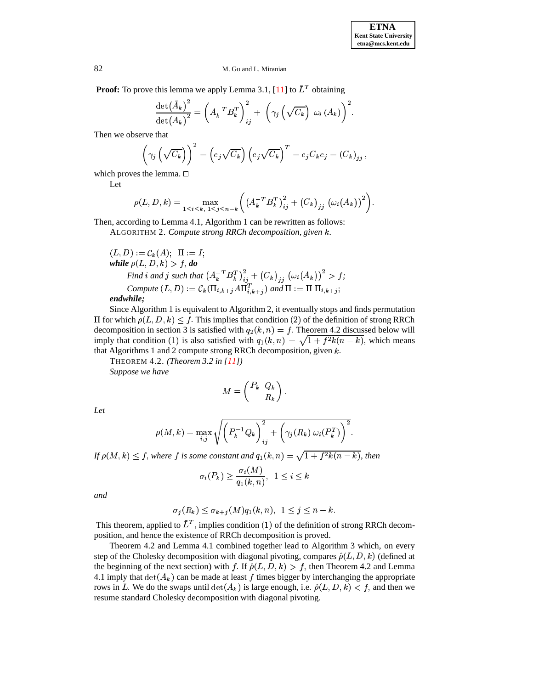**Proof:** To prove this lemma we apply Lemma 3.1,  $[11]$  to  $L<sup>T</sup>$  obtaining

$$
\frac{\det(\tilde{A}_k)^2}{\det(A_k)^2} = \left(A_k^{-T} B_k^T\right)_{ij}^2 + \left(\gamma_j\left(\sqrt{C_k}\right) \omega_i(A_k)\right)^2.
$$

Then we observe that

$$
\left(\gamma_j\left(\sqrt{C_k}\right)\right)^2 = \left(e_j\sqrt{C_k}\right)\left(e_j\sqrt{C_k}\right)^T = e_jC_k e_j = \left(C_k\right)_{jj},
$$

which proves the lemma.  $\Box$ 

Let

$$
\rho(L, D, k) = \max_{1 \le i \le k, 1 \le j \le n-k} \left( \left( A_k^{-T} B_k^{T} \right)_{ij}^2 + \left( C_k \right)_{jj} \left( \omega_i(A_k) \right)^2 \right).
$$

Then, according to Lemma 4.1, Algorithm 1 can be rewritten as follows:

ALGORITHM 2. Compute strong RRCh decomposition, given  $k$ .

$$
(L, D) := C_k(A); \quad \Pi := I;
$$
  
\nwhile  $\rho(L, D, k) > f$ , do  
\nFind *i* and *j* such that  $(A_k^T B_k^T)_{ij}^2 + (C_k)_{jj} (\omega_i(A_k))^2 > f$ ;  
\nCompute  $(L, D) := C_k(\Pi_{i,k+j} A \Pi_{i,k+j}^T)$  and  $\Pi := \Pi \Pi_{i,k+j}$ ;  
\nendwhile:

## *endwhile;*

Since Algorithm 1 is equivalent to Algorithm 2, it eventually stops and finds permutation Since Algorithm 1 is<br>for which  $\rho(L, D, k)$  $(L, D, k) \leq f$ . This implies that condition (2) of the definition of strong RRCh decomposition in section 3 is satisfied with  $q_2(k,n) = f$ . Theorem 4.2 discussed below will imply that condition (1) is also satisfied with  $q_1(k,n) = \sqrt{1 + f^2k(n-k)}$ , which means that Algorithms 1 and 2 compute strong RRCh decomposition, given  $k$ .

THEOREM 4.2. *(Theorem 3.2 in [\[11\]](#page-15-3))*

*Suppose we have*

$$
M = \begin{pmatrix} P_k & Q_k \\ & R_k \end{pmatrix}.
$$

*Let*

$$
\rho(M,k) = \max_{i,j} \sqrt{\left(P_k^{-1}Q_k\right)_{ij}^2 + \left(\gamma_j(R_k) \ \omega_i(P_k^T)\right)^2}.
$$

 $\int f(\theta) \, d\theta$ ,  $f(\theta) \leq f$ , where f is some constant and  $q_1(k,n) = \sqrt{1+f^2k(n-k)}$ , then

$$
\sigma_i(P_k) \ge \frac{\sigma_i(M)}{q_1(k,n)}, \ \ 1 \le i \le k
$$

*and*

$$
\sigma_j(R_k) \leq \sigma_{k+j}(M)q_1(k,n), \ \ 1 \leq j \leq n-k.
$$

This theorem, applied to  $L^T$ , implies condition (1) of the definition of strong RRCh decomposition, and hence the existence of RRCh decomposition is proved.

Theorem 4.2 and Lemma 4.1 combined together lead to Algorithm 3 which, on every Theorem 4.2 and Lemma 4.1 combined together lead to Algorithm 3 which, step of the Cholesky decomposition with diagonal pivoting, compares  $\hat{\rho}(L, D, k)$  ( liagonal pivoting, compares  $\hat{\rho}(L, D, k)$  (defined at If  $\hat{\rho}(L, D, k) > f$ , then Theorem 4.2 and Lemma the beginning of the next section) with f. If  $\hat{\rho}(L, D, k) > f$ , then Theorem 4.2 and Lemma 4.1 imply that  $\det(A_k)$  can be made at least  $f$  times bigger by interchanging the appropriate rows in  $\overline{L}$ . We do the swaps until  $\det(A_k)$  is large enough, i.e.  $\hat{\rho}(L, D, k) < f$ , and then we rows in L. We do the swaps until  $\det(A_k)$  is large enough, i.e.  $\hat{\rho}(L, D, k) < f$ , and then we resume standard Cholesky decomposition with diagonal pivoting.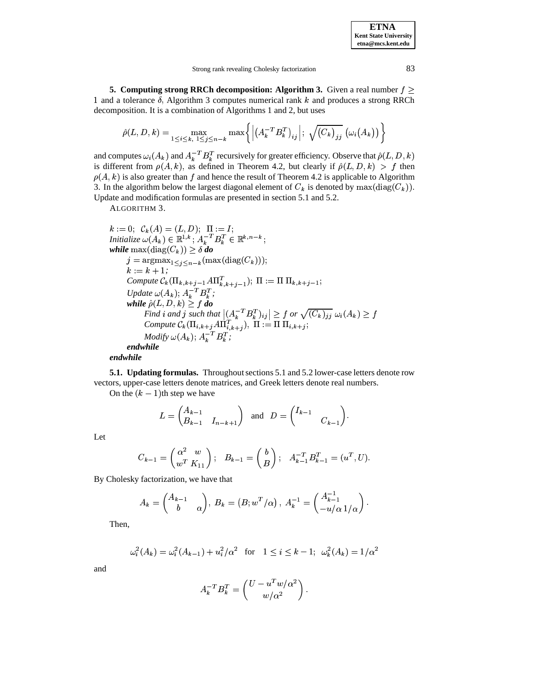**ETNA Kent State University etna@mcs.kent.edu**

**5.** Computing strong RRCh decomposition: Algorithm 3. Given a real number  $f \geq$ 1 and a tolerance  $\delta$ , Algorithm 3 computes numerical rank k and produces a strong RRCh decomposition. It is a combination of Algorithms 1 and 2, but uses

$$
\hat{\rho}(L, D, k) = \max_{1 \leq i \leq k, 1 \leq j \leq n-k} \max \left\{ \left| \left( A_k^{-T} B_k^{T} \right)_{ij} \right| ; \sqrt{\left( C_k \right)_{jj}} \left( \omega_i(A_k) \right) \right\}
$$

and computes  $\omega_i(A_k)$  and  $A_k^{-T}B_k^T$  recursively for greater efficiency. Observe that  $\hat{\rho}(L, D, k)$ and computes  $\omega_i(A_k)$  and  $A_k^{-T}B_k^T$  recursively for greater efficiency. Observe that  $\hat{\rho}(L, D, k)$  is different from  $\rho(A, k)$ , as defined in Theorem 4.2, but clearly if  $\hat{\rho}(L, D, k) > f$  then is different from  $\rho(A, k)$ , as defined in Theorem 4.2, but clearly if  $\hat{\rho}(L, D, k) > f$  then  $(A, k)$  is also greater than  $f$  and hence the result of Theorem 4.2 is applicable to Algorithm  $\rho(A, k)$  is also greater than f and hence the result of Theorem 4.2 is applica<br>3. In the algorithm below the largest diagonal element of  $C_k$  is denoted by k is denoted by  $\max(\text{diag}(C_k)).$ Update and modification formulas are presented in section 5.1 and 5.2.

ALGORITHM 3.

$$
k := 0; \ C_k(A) = (L, D); \ \Pi := I;
$$
  
\n*Initialize*  $\omega(A_k) \in \mathbb{R}^{1,k}; A_k^{-T}B_k^T \in \mathbb{R}^{k,n-k};$   
\n**while**  $\max(\text{diag}(C_k)) \ge \delta \text{ do}$   
\n $j = \operatorname{argmax}_{1 \le j \le n-k}(\max(\text{diag}(C_k)));$   
\n $k := k + 1;$   
\n $\text{Compute } C_k(\Pi_{k,k+j-1}A\Pi_{k,k+j-1}^T); \ \Pi := \Pi \Pi_{k,k+j-1};$   
\n $\text{Update } \omega(A_k); A_k^{-T}B_k^T;$   
\n**while**  $\hat{\rho}(L, D, k) \ge f \text{ do}$   
\n $\text{Find } i \text{ and } j \text{ such that } |(A_k^{-T}B_k^T)_{ij}| \ge f \text{ or } \sqrt{(C_k)_{jj}} \omega_i(A_k) \ge f$   
\n $\text{Compute } C_k(\Pi_{i,k+j}A\Pi_{i,k+j}^T), \ \Pi := \Pi \ \Pi_{i,k+j};$   
\n $\text{Modify } \omega(A_k); A_k^{-T}B_k^T;$   
\n**endwhile**  
\n**endwhile**

**5.1. Updating formulas.** Throughout sections 5.1 and 5.2 lower-case letters denote row vectors, upper-case letters denote matrices, and Greek letters denote real numbers.

On the  $(k - 1)$ th step we have

$$
L = \begin{pmatrix} A_{k-1} \\ B_{k-1} & I_{n-k+1} \end{pmatrix} \text{ and } D = \begin{pmatrix} I_{k-1} \\ C_{k-1} \end{pmatrix}.
$$

Let

$$
C_{k-1} = \begin{pmatrix} \alpha^2 & w \\ w^T & K_{11} \end{pmatrix}; \quad B_{k-1} = \begin{pmatrix} b \\ B \end{pmatrix}; \quad A_{k-1}^{-T} B_{k-1}^T = (u^T, U).
$$

By Cholesky factorization, we have that

$$
A_k = \begin{pmatrix} A_{k-1} & \\ b & \alpha \end{pmatrix}, B_k = (B; w^T/\alpha), A_k^{-1} = \begin{pmatrix} A_{k-1}^{-1} \\ -u/\alpha \, 1/\alpha \end{pmatrix}.
$$

Then,

$$
\omega_i^2(A_k) = \omega_i^2(A_{k-1}) + u_i^2/\alpha^2 \quad \text{for} \quad 1 \le i \le k-1; \quad \omega_k^2(A_k) = 1/\alpha^2
$$

and

$$
A_k^{-T}B_k^T = \begin{pmatrix} U - u^T w/\alpha^2 \\ w/\alpha^2 \end{pmatrix}.
$$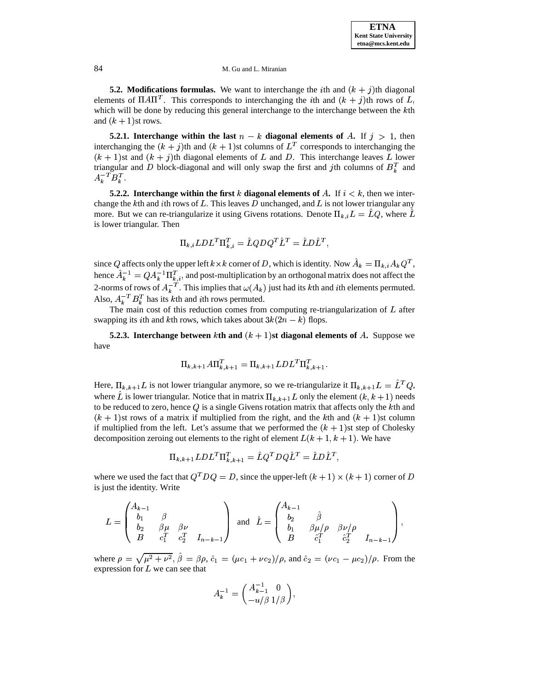**5.2. Modifications formulas.** We want to interchange the *i*th and  $(k + j)$ th diagonal elements of  $\Pi A \Pi^T$ . This corresponds to interchanging the *i*th and  $(k + j)$ th rows of L, which will be done by reducing this general interchange to the interchange between the  $k$ th and  $(k+1)$ st rows.

**5.2.1.** Interchange within the last  $n - k$  diagonal elements of A. If  $j > 1$ , then interchanging the  $(k + j)$ th and  $(k + 1)$ st columns of  $L<sup>T</sup>$  corresponds to interchanging the  $(k + 1)$ st and  $(k + j)$ th diagonal elements of L and D. This interchange leaves L lower triangular and D block-diagonal and will only swap the first and jth columns of  $B_k^T$  and  $\mathbf{A} = \mathbf{I}$  requires the set of  $\mathbf{A} = \mathbf{I}$ 

**5.2.2. Interchange within the first**  $k$  **diagonal elements of**  $A$ . If  $i < k$ , then we interchange the kth and *i*th rows of L. This leaves D unchanged, and L is not lower triangular any more. But we can re-triangularize it using Givens rotations. Denote  $\Pi_{k,i}L = \hat{L}Q$ , where  $\hat{L}$ is lower triangular. Then

$$
\Pi_{k.i}LDL^T\Pi_{k.i}^T = \hat{L}QDQ^T\hat{L}^T = \hat{L}D\hat{L}^T,
$$

since Q affects only the upper left  $k \times k$  corner of D, which is identity. Now  $\tilde{A}_k = \Pi_{k,i} A_k Q^T$ , hence  $A_k^{-1} = QA_k^{-1}\Pi_{k,i}^T$ , and post-multiplication by an orthogonal matrix does not affect the 2-norms of rows of  $A_k^{-T}$ . This implies that  $\omega(A_k)$  just had its kth and *i*th elements permuted. Also,  $A_k^{-T} B_k^T$  has its kth and *i*th rows permuted.

The main cost of this reduction comes from computing re-triangularization of  $L$  after swapping its *i*th and *k*th rows, which takes about  $3k(2n-k)$  flops.

**5.2.3.** Interchange between  $k$ th and  $(k + 1)$ st diagonal elements of  $A$ . Suppose we have

$$
\Pi_{k,k+1} A \Pi_{k,k+1}^T = \Pi_{k,k+1} L D L^T \Pi_{k,k+1}^T.
$$

Here,  $\Pi_{k,k+1}L$  is not lower triangular anymore, so we re-triangularize it  $\Pi_{k,k+1}L = L^TQ$ , where L is lower triangular. Notice that in matrix  $\Pi_{k,k+1}$  L only the element  $(k, k+1)$  needs to be reduced to zero, hence  $Q$  is a single Givens rotation matrix that affects only the  $k$ th and  $(k + 1)$ st rows of a matrix if multiplied from the right, and the kth and  $(k + 1)$ st column if multiplied from the left. Let's assume that we performed the  $(k + 1)$ st step of Cholesky decomposition zeroing out elements to the right of element  $L(k+1, k+1)$ . We have

$$
\Pi_{k,k+1}LDL^T\Pi_{k,k+1}^T = \hat{L}Q^T DQ \hat{L}^T = \hat{L}D\hat{L}^T,
$$

where we used the fact that  $Q^T D Q = D$ , since the upper-left  $(k+1) \times (k+1)$  corner of D is just the identity. Write

$$
L = \begin{pmatrix} A_{k-1} & & & \\ b_1 & \beta & & \\ b_2 & \beta \mu & \beta \nu & \\ B & c_1^T & c_2^T & I_{n-k-1} \end{pmatrix} \text{ and } \hat{L} = \begin{pmatrix} A_{k-1} & & & \\ b_2 & \beta & & \\ b_1 & \beta \mu / \rho & \beta \nu / \rho & \\ B & \hat{c}_1^T & \hat{c}_2^T & I_{n-k-1} \end{pmatrix},
$$

where  $\rho = \sqrt{\mu^2 + \nu^2}$ ,  $\hat{\beta} = \beta \rho$ ,  $\hat{c}_1 = (\mu c_1 + \nu c_2)/\rho$ , and  $\hat{c}_2 =$ , and  $\hat{c}_2 = (\nu c_1 - \mu c_2)/\rho$ . From the . From the expression for  $L$  we can see that

$$
A_k^{-1} = \begin{pmatrix} A_{k-1}^{-1} & 0 \\ -u/\beta & 1/\beta \end{pmatrix},
$$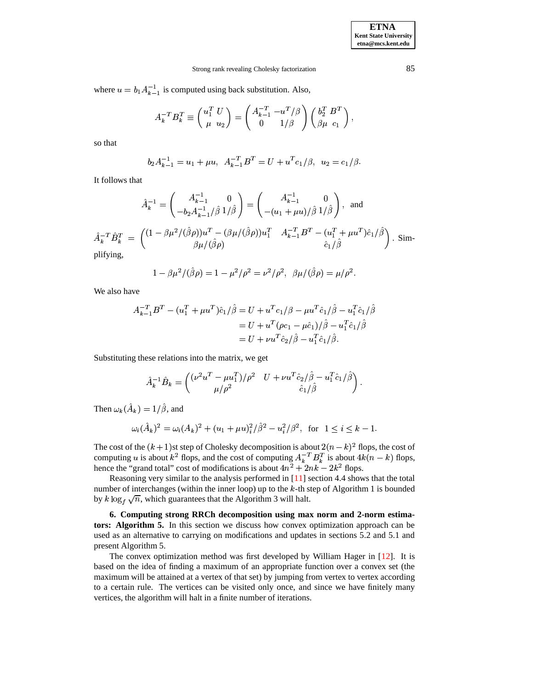### Strong rank revealing Cholesky factorization 85

where  $u = b_1 A_{k-1}^{-1}$  is computed using back substitution. Also,

$$
A_k^{-T}B_k^T \equiv \begin{pmatrix} u_1^T & U \\ \mu & u_2 \end{pmatrix} = \begin{pmatrix} A_{k-1}^{-T} - u^T/\beta \\ 0 & 1/\beta \end{pmatrix} \begin{pmatrix} b_2^T & B^T \\ \beta \mu & c_1 \end{pmatrix},
$$

so that

$$
b_2 A_{k-1}^{-1} = u_1 + \mu u, \ \ A_{k-1}^{-T} B^T = U + u^T c_1 / \beta, \ \ u_2 = c_1 / \beta.
$$

It follows that

$$
\hat{A}_k^{-1} = \begin{pmatrix} A_{k-1}^{-1} & 0 \\ -b_2 A_{k-1}^{-1} / \hat{\beta} \ 1/\hat{\beta} \end{pmatrix} = \begin{pmatrix} A_{k-1}^{-1} & 0 \\ -(u_1 + \mu u) / \hat{\beta} \ 1/\hat{\beta} \end{pmatrix}, \text{ and}
$$

$$
\hat{A}_k^{-T} \hat{B}_k^T = \begin{pmatrix} (1 - \beta \mu^2 / (\hat{\beta}\rho)) u^T - (\beta \mu / (\hat{\beta}\rho)) u_1^T & A_{k-1}^{-T} B^T - (u_1^T + \mu u^T) \hat{c}_1 / \hat{\beta} \\ \beta \mu / (\hat{\beta}\rho) & \hat{c}_1 / \hat{\beta} \end{pmatrix}.
$$
 Sim-  
plifying.

plifying,

$$
1 - \beta \mu^2 / (\hat{\beta} \rho) = 1 - \mu^2 / \rho^2 = \nu^2 / \rho^2, \ \beta \mu / (\hat{\beta} \rho) = \mu / \rho^2.
$$

We also have

$$
A_{k-1}^{-T}B^T - (u_1^T + \mu u^T)\hat{c}_1/\hat{\beta} = U + u^T c_1/\beta - \mu u^T \hat{c}_1/\hat{\beta} - u_1^T \hat{c}_1/\hat{\beta}
$$
  
=  $U + u^T (\rho c_1 - \mu \hat{c}_1)/\hat{\beta} - u_1^T \hat{c}_1/\hat{\beta}$   
=  $U + \nu u^T \hat{c}_2/\hat{\beta} - u_1^T \hat{c}_1/\hat{\beta}.$ 

Substituting these relations into the matrix, we get

$$
\hat{A}_k^{-1}\hat{B}_k = \begin{pmatrix} (\nu^2 u^T - \mu u_1^T)/\rho^2 & U + \nu u^T \hat{c}_2/\hat{\beta} - u_1^T \hat{c}_1/\hat{\beta} \\ \mu/\rho^2 & \hat{c}_1/\hat{\beta} \end{pmatrix}.
$$

Then  $\omega_k(A_k) = 1/\beta$ , and

$$
\omega_i(\hat{A}_k)^2 = \omega_i(A_k)^2 + (u_1 + \mu u)_i^2/\hat{\beta}^2 - u_i^2/\beta^2, \text{ for } 1 \le i \le k - 1.
$$

The cost of the  $(k+1)$ st step of Cholesky decomposition is about  $2(n-k)^2$  flops, the cost of computing u is about  $k^2$  flops, and the cost of computing  $A_k^{-T}B_k^T$  is about  $4k(n-k)$  flops, hence the "grand total" cost of modifications is about  $4n^2 + 2nk - 2k^2$  flops.

Reasoning very similar to the analysis performed in [\[11\]](#page-15-3) section 4.4 shows that the total number of interchanges (within the inner loop) up to the  $k$ -th step of Algorithm 1 is bounded by  $k \log_{t} \sqrt{n}$ , which guarantees that the Algorithm 3 will halt.

**6. Computing strong RRCh decomposition using max norm and 2-norm estimators: Algorithm 5.** In this section we discuss how convex optimization approach can be used as an alternative to carrying on modifications and updates in sections 5.2 and 5.1 and present Algorithm 5.

The convex optimization method was first developed by William Hager in [\[12\]](#page-15-8). It is based on the idea of finding a maximum of an appropriate function over a convex set (the maximum will be attained at a vertex of that set) by jumping from vertex to vertex according to a certain rule. The vertices can be visited only once, and since we have finitely many vertices, the algorithm will halt in a finite number of iterations.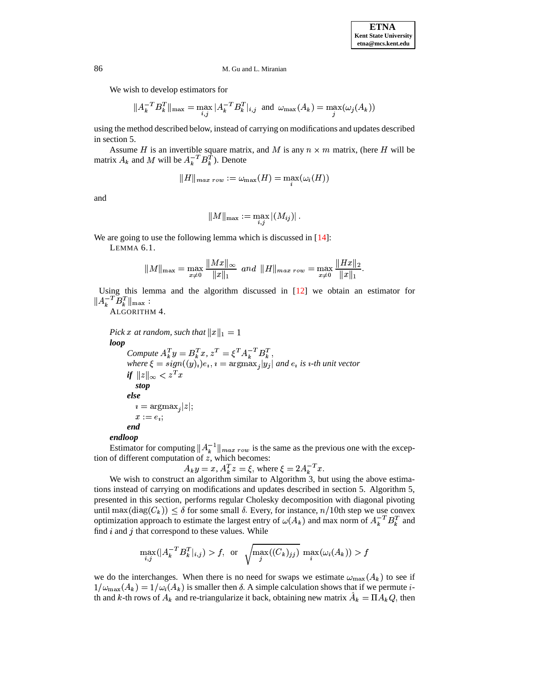We wish to develop estimators for

$$
||A_k^{-T}B_k^T||_{\max} = \max_{i,j} |A_k^{-T}B_k^T|_{i,j} \text{ and } \omega_{\max}(A_k) = \max_j(\omega_j(A_k))
$$

using the method described below, instead of carrying on modifications and updates described in section 5.

Assume H is an invertible square matrix, and M is any  $n \times m$  matrix, (here H will be matrix  $A_k$  and M will be  $A_k^{-T}B_k^T$ ). Denote

$$
\|H\|_{max\; row} := \omega_{\max}(H) = \max_i(\omega_i(H))
$$

and

$$
\|M\|_{\max}:=\max_{i,j}|(M_{ij})|\,.
$$

We are going to use the following lemma which is discussed in [\[14\]](#page-16-12):

LEMMA 6.1.

$$
||M||_{\max} = \max_{x \neq 0} \frac{||Mx||_{\infty}}{||x||_1} \text{ and } ||H||_{\max \, row} = \max_{x \neq 0} \frac{||Hx||_2}{||x||_1}.
$$

Using this lemma and the algorithm discussed in [\[12\]](#page-15-8) we obtain an estimator for  $||A^{-1}B^T||_{\max}$ :

ALGORITHM 4.

*Pick x at random, such that*  $||x||_1 = 1$ " *loop*

*Compute*  $A_k^T y = B_k^T x$ ,  $z^T = \xi^T A_k^{-T} B_k^T$ ,  $where \xi = sign((y)_i)e_i, i = argmax_i|y_i|$  and  $e_i$  is *i*-th unit vector  $if \ \|z\|_{\infty} < z^T x$ *stop else*  $i = \text{argmax}_{i} |z|$ ;  $x := e_i$ *end*

### *endloop*

Estimator for computing  $||A_k^{-1}||_{max\; row}$  is the same as the previous one with the exception of different computation of  $z$ , which becomes:

 $A_k y = x, A_k^T z = \xi$ , where  $\xi = 2A_k^{-T} x$ .

We wish to construct an algorithm similar to Algorithm 3, but using the above estimations instead of carrying on modifications and updates described in section 5. Algorithm 5, presented in this section, performs regular Cholesky decomposition with diagonal pivoting & until  $\max(\text{diag}(C_k)) \leq \delta$  for some small  $\delta$ . Every, for instance,  $n/10$ th step we use convex optimization approach to estimate the largest entry of  $\omega(A_k)$  and max norm of  $A_k^{-T}B_k^{T}$  and find  $i$  and  $j$  that correspond to these values. While

$$
\max_{i,j}(|A_k^{-T}B_k^T|_{i,j}) > f, \text{ or } \sqrt{\max_j((C_k)_{jj})} \max_i(\omega_i(A_k)) > f
$$

we do the interchanges. When there is no need for swaps we estimate  $\omega_{\text{max}}(A_k)$  to see if  $1/\omega_{\text{max}}(A_k) = 1/\omega_i(A_k)$  is smaller then  $\delta$ . A simple calculation shows that if we permute  $i$ th and k-th rows of  $A_k$  and re-triangularize it back, obtaining new matrix  $A_k = \Pi A_k Q$ , then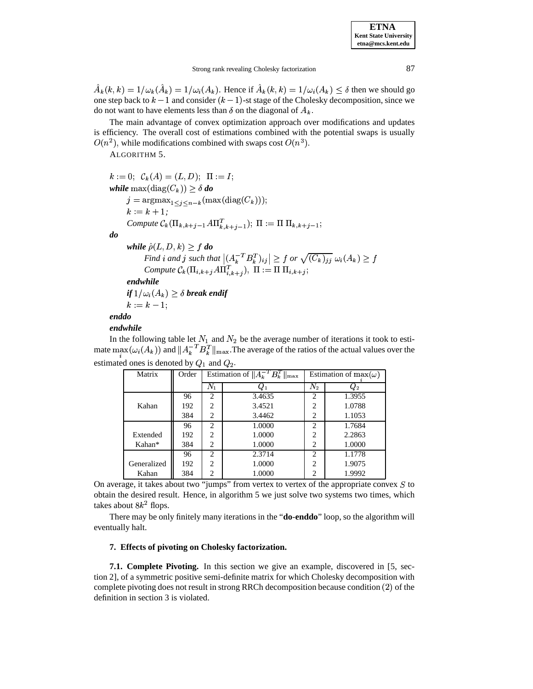$\tilde{A}_k(k,k) = 1/\omega_k(\tilde{A}_k) = 1/\omega_i(A_k)$ . Hence if  $\tilde{A}_k(k,k) = 1/\omega_i(A_k) \leq \delta$  then we should go one step back to  $k-1$  and consider  $(k-1)$ -st stage of the Cholesky decomposition, since we do not want to have elements less than  $\delta$  on the diagonal of  $A_k$ .

The main advantage of convex optimization approach over modifications and updates is efficiency. The overall cost of estimations combined with the potential swaps is usually  $O(n^2)$ , while modifications combined with swaps cost  $O(n^3)$ .

ALGORITHM 5.

```
k := 0; \ \ \mathcal{C}_k(A) = (L,D); \ \ \Pi := I;while \max(\text{diag}(C_{\bm{k}})) \geq \delta do
      j = \arg \max_{1 \leq i \leq n-k} (\max(\text{diag}(C_k)));
                                                \mathbf{A} = \mathbf{A} \mathbf{A}k := k + 1;
      k := k + 1;<br>Compute C_k(\Pi_{k,k+j-1})\kappa(\Pi_{k,k+j-1}A\Pi_{k,k+j-1}^T); \Pi := \Pi \Pi_{k,k+j-1};do
      while \hat{\rho}(L,D,k) ?
                (L, D, k) \geq f do
             \hat{p}(L, D, k) \geq f do<br>
Find i and j such that |(A_k^{-T}B_k^T)_{ij}| \geq f or \sqrt{(C_k)_{jj}} \omega_i(A_k) \geq f(k)_{ii} \omega_i(A_k) > fCompute C_k(\Pi_{i,k+j}A\Pi_{i,k+i}^T), \Pi := \Pi \Pi_{i,k+j};endwhile
      if 1/\omega_i(A_k) \geq \delta break endif
       k := k - 1;
enddo
```
# *endwhile*

endwhile<br>In the following table let  $N_1$  and  $N_2$  be the av et  $N_1$  and  $N_2$  be the average number of iterations it took to estimate  $\max(\omega_i(A_k))$  and  $||A_k^{-T}B_k^T||_{\max}$ . The average of the ratios of the actual values over the estimated ones is denoted by  $Q_1$  and  $Q_2$ .

| Matrix      | Order |                | Estimation of $  A_k^{-T}B_k^T  _{\text{max}}$ | Estimation of $max(\omega)$ |            |  |
|-------------|-------|----------------|------------------------------------------------|-----------------------------|------------|--|
|             |       | $N_1$          | $\omega_1$                                     | $N_2$                       | $\omega_2$ |  |
|             | 96    | 2              | 3.4635                                         | 2                           | 1.3955     |  |
| Kahan       | 192   | $\overline{c}$ | 3.4521                                         | $\overline{c}$              | 1.0788     |  |
|             | 384   | $\overline{c}$ | 3.4462                                         | $\overline{c}$              | 1.1053     |  |
|             | 96    | $\overline{c}$ | 1.0000                                         | $\overline{c}$              | 1.7684     |  |
| Extended    | 192   | $\overline{c}$ | 1.0000                                         | $\overline{c}$              | 2.2863     |  |
| Kahan*      | 384   | $\overline{c}$ | 1.0000                                         | $\overline{c}$              | 1.0000     |  |
|             | 96    | $\overline{c}$ | 2.3714                                         | $\overline{c}$              | 1.1778     |  |
| Generalized | 192   | $\overline{c}$ | 1.0000                                         | $\overline{c}$              | 1.9075     |  |
| Kahan       | 384   | 2              | 1.0000                                         | $\overline{c}$              | 1.9992     |  |

On average, it takes about two "jumps" from vertex to vertex of the appropriate convex  $S$  to obtain the desired result. Hence, in algorithm 5 we just solve two systems two times, which takes about  $8k^2$  flops.

There may be only finitely many iterations in the "**do**-**enddo**" loop, so the algorithm will eventually halt.

# **7. Effects of pivoting on Cholesky factorization.**

**7.1. Complete Pivoting.** In this section we give an example, discovered in [5, section 2], of a symmetric positive semi-definite matrix for which Cholesky decomposition with complete pivoting does not result in strong RRCh decomposition because condition  $(2)$  of the definition in section 3 is violated.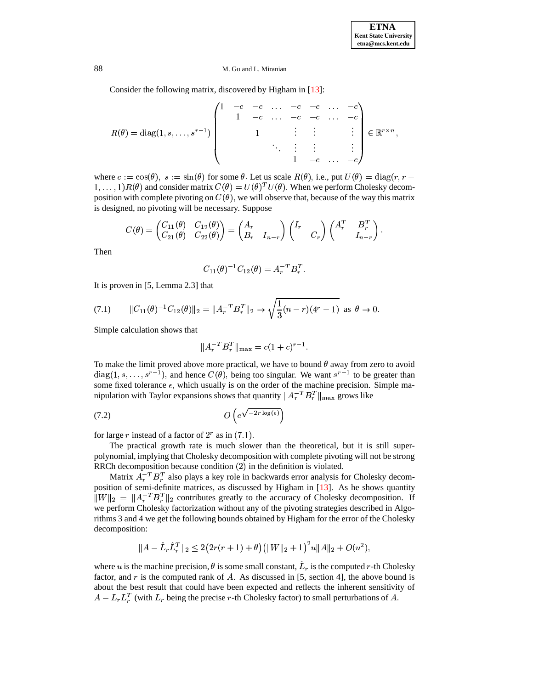Consider the following matrix, discovered by Higham in [\[13\]](#page-16-0):

$$
R(\theta) = \text{diag}(1, s, \ldots, s^{r-1}) \begin{pmatrix} 1 & -c & -c & \ldots & -c & -c & \ldots & -c \\ & 1 & -c & \ldots & -c & -c & \ldots & -c \\ & & 1 & \vdots & \vdots & & \vdots \\ & & \ddots & \vdots & \vdots & & \vdots \\ & & & 1 & -c & \ldots & -c \end{pmatrix} \in \mathbb{R}^{r \times n},
$$

where  $c := \cos(\theta)$ ,  $s := \sin(\theta)$  for some  $\theta$ . Let us scale  $R(\theta)$ , i.e., put  $U(\theta) = \text{diag}(r, r 1, \ldots, 1$  )  $R(\theta)$  and consider  $s(\theta)$ ,  $s := \sin(\theta)$  for some  $\theta$ . Let us s<br>and consider matrix  $C(\theta) = U(\theta)^T U(\theta)$  $(1, \ldots, 1)R(\theta)$  and consider matrix  $C(\theta) = U(\theta)^T U(\theta)$ . When we perform Cholesky decomposition with complete pivoting on  $C(\theta)$ , we will observe that, because of the way this matrix position with complete pivoting on  $C(\theta)$ , we will observe that, because of the way this matrix is designed, no pivoting will be necessary. Suppose<br>  $(C_{11}(\theta) - C_{12}(\theta)) = (A_2 - A_3 \cos \theta)$ 

$$
C(\theta) = \begin{pmatrix} C_{11}(\theta) & C_{12}(\theta) \\ C_{21}(\theta) & C_{22}(\theta) \end{pmatrix} = \begin{pmatrix} A_r & \\ B_r & I_{n-r} \end{pmatrix} \begin{pmatrix} I_r & \\ & C_r \end{pmatrix} \begin{pmatrix} A_r^T & B_r^T \\ & I_{n-r} \end{pmatrix}.
$$

Then

$$
C_{11}(\theta)^{-1}C_{12}(\theta) = A_r^{-T}B_r^T.
$$

It is proven in [5, Lemma 2.3] that

(7.1) 
$$
||C_{11}(\theta)^{-1}C_{12}(\theta)||_2 = ||A_r^{-T}B_r^T||_2 \to \sqrt{\frac{1}{3}(n-r)(4^r-1)} \text{ as } \theta \to 0.
$$

Simple calculation shows that

$$
||A_r^{-T}B_r^T||_{\text{max}} = c(1+c)^{r-1}.
$$

To make the limit proved above more practical, we have to bound  $\theta$  away from zero to avoid To make the limit proved above more practical, we have to bound  $\theta$  away from zero to avoid diag(1, s, . . . , s<sup>r-1</sup>), and hence  $C(\theta)$ , being too singular. We want s<sup>r-1</sup> to be greater than some fixed tolerance  $\epsilon$ , which usually is on the order of the machine precision. Simple manipulation with Taylor expansions shows that quantity  $||A_r^{-T}B_r^T||_{\text{max}}$  grows like

 <sup>B</sup>  -(7.2)

for large r instead of a factor of  $2^r$  as in  $(7.1)$ .

The practical growth rate is much slower than the theoretical, but it is still superpolynomial, implying that Cholesky decomposition with complete pivoting will not be strong RRCh decomposition because condition  $(2)$  in the definition is violated.

Matrix  $A_r^{-T}B_r^T$  also plays a key role in backwards error analysis for Cholesky decomposition of semi-definite matrices, as discussed by Higham in [\[13\]](#page-16-0). As he shows quantity  $||W||_2 = ||A_r^{-T}B_r^{T}||_2$  contributes greatly to the accuracy of Cholesky decomposition. If we perform Cholesky factorization without any of the pivoting strategies described in Algorithms 3 and 4 we get the following bounds obtained by Higham for the error of the Cholesky decomposition:

$$
\|A - \hat{L}_r\hat{L}_r^T\|_2 \leq 2\big(2r(r+1)+\theta\big)\big(\|W\|_2+1\big)^2u\|A\|_2 + O(u^2),
$$

where u is the machine precision,  $\theta$  is some small constant,  $L_r$  is the computed r-th Cholesky factor, and  $r$  is the computed rank of A. As discussed in [5, section 4], the above bound is about the best result that could have been expected and reflects the inherent sensitivity of  $A - L_r L_r^T$  (with  $L_r$  being the precise r-th Cholesky factor) to small perturbations of A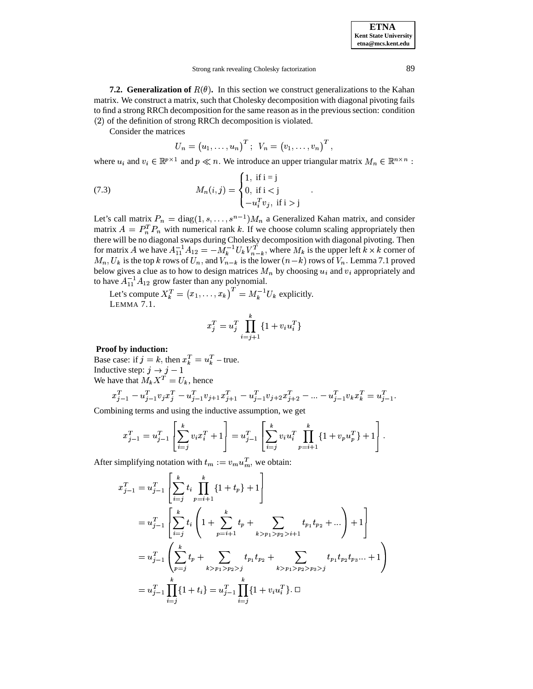**ETNA Kent State University etna@mcs.kent.edu**

**7.2. Generalization of**  $R(\theta)$ . In this section we construct generalizations to the Kahan matrix. We construct a matrix, such that Cholesky decomposition with diagonal pivoting fails to find a strong RRCh decomposition for the same reason as in the previous section: condition  $(2)$  of the definition of strong RRCh decomposition is violated.

Consider the matrices

$$
U_n = (u_1, \ldots, u_n)^T; \ \ V_n = (v_1, \ldots, v_n)^T,
$$

where  $u_i$  and  $v_i \in \mathbb{R}^{p \times 1}$  and  $p \ll n$ . We introduce an upper triangular matrix  $M_n \in \mathbb{R}^{n \times n}$ :

and the state of the state of the state of the state of the state of the state of the state of the state of the

(7.3) 
$$
M_n(i,j) = \begin{cases} 1, & \text{if } i = j \\ 0, & \text{if } i < j \\ -u_i^T v_j, & \text{if } i > j \end{cases}
$$

Let's call matrix  $P_n = \text{diag}(1, s, \dots, s^{n-1}) M_n$  a Generalized Kahan matrix, and consider matrix  $A = P_n^T P_n$  with numerical rank k. If we choose column scaling appropriately then there will be no diagonal swaps during Cholesky decomposition with diagonal pivoting. Then for matrix A we have  $A_{11}^{-1}A_{12}=-M_k^{-1}U_kV_{n-k}^T$ , where  $M_k$  is the upper left  $k\times k$  corner of  $M_n, U_k$  is the top k rows of  $U_n$ , and  $V_{n-k}$  is the lower  $(n-k)$  rows of  $V_n$ . Lemma 7.1 proved below gives a clue as to how to design matrices  $M_n$  by choosing  $u_i$  and  $v_i$  appropriately and to have  $A_{11}^{-1}A_{12}$  grow faster than any polynomial.

Let's compute  $X_k^T = (x_1, \ldots, x_k)^T = M_k^{-1} U_k$  explicitly.  $k^{-1}U_k$  explicitly. LEMMA 7.1.

$$
x_j^T = u_j^T \prod_{i=j+1}^k \{1 + v_i u_i^T\}
$$

# **Proof by induction:**

Base case: if  $j = k$ , then  $x_k^T = u_k^T$  – true. Inductive step:  $j \rightarrow j-1$ We have that  $M_k X^T = U_k$ , hence

$$
x_{j-1}^T - u_{j-1}^T v_j x_j^T - u_{j-1}^T v_{j+1} x_{j+1}^T - u_{j-1}^T v_{j+2} x_{j+2}^T - \ldots - u_{j-1}^T v_k x_k^T = u_{j-1}^T.
$$

Combining terms and using the inductive assumption, we get

$$
x_{j-1}^T = u_{j-1}^T \left[ \sum_{i=j}^k v_i x_i^T + 1 \right] = u_{j-1}^T \left[ \sum_{i=j}^k v_i u_i^T \prod_{p=i+1}^k \{1 + v_p u_p^T\} + 1 \right].
$$

After simplifying notation with  $t_m := v_m u_m^T$ , we obtain:

$$
x_{j-1}^T = u_{j-1}^T \left[ \sum_{i=j}^k t_i \prod_{p=i+1}^k \{1+t_p\} + 1 \right]
$$
  
\n
$$
= u_{j-1}^T \left[ \sum_{i=j}^k t_i \left(1 + \sum_{p=i+1}^k t_p + \sum_{k>p_1>p_2>i+1} t_{p_1} t_{p_2} + \dots \right) + 1 \right]
$$
  
\n
$$
= u_{j-1}^T \left( \sum_{p=j}^k t_p + \sum_{k>p_1>p_2>j} t_{p_1} t_{p_2} + \sum_{k>p_1>p_2>p_3>j} t_{p_1} t_{p_2} t_{p_3} + 1 \right)
$$
  
\n
$$
= u_{j-1}^T \prod_{i=j}^k \{1+t_i\} = u_{j-1}^T \prod_{i=j}^k \{1+v_i u_i^T\}. \Box
$$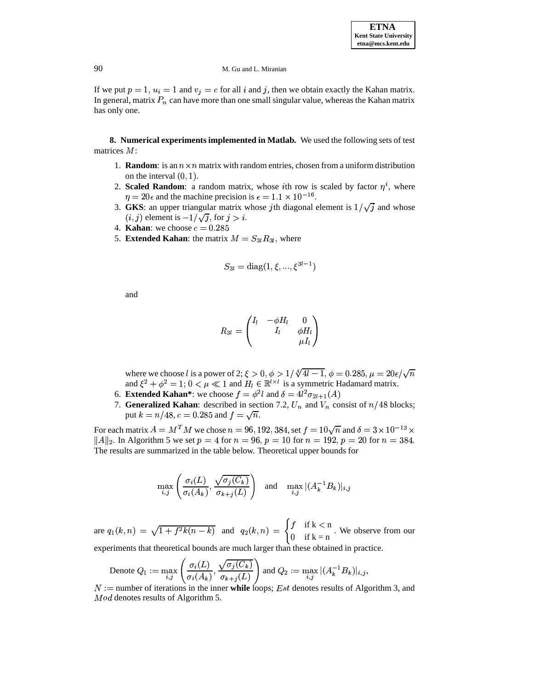If we put  $p = 1$ ,  $u_i = 1$  and  $v_j = c$  for all i and j, then we obtain exactly the Kahan matrix. In general, matrix  $P_n$  can have more than one small singular value, whereas the Kahan matrix has only one.

**8. Numerical experiments implemented in Matlab.** We used the following sets of test matrices  $M$ :

- 1. **Random**: is an  $n \times n$  matrix with random entries, chosen from a uniform distribution on the interval  $(0, 1)$ .
- 2. **Scaled Random**: a random matrix, whose *i*th row is scaled by factor  $\eta^i$ , where  $\eta = 20\epsilon$  and the machine precision is  $\epsilon = 1.1 \times 10^{-16}$ .
- 3. **GKS**: an upper triangular matrix whose jth diagonal element is  $1/\sqrt{j}$  and whose  $(i, j)$  element is  $-1/\sqrt{j}$ , for  $j > i$ .
- 4. **Kahan**: we choose  $c = 0.285$
- 5. **Extended Kahan**: the matrix  $M = S_{3l} R_{3l}$ , where

$$
S_{3l} = \text{diag}(1, \xi, ..., \xi^{3l-1})
$$

and

$$
R_{3l}=\begin{pmatrix}I_l&-\phi H_l&0\\&I_l&\phi H_l\\&&\mu I_l\end{pmatrix}
$$

where we choose *l* is a power of 2;  $\xi > 0$ ,  $\phi > 1/\sqrt[4]{4l-1}$ ,  $\phi = 0.285$ ,  $\mu = 20\epsilon/\sqrt{n}$ <br>and  $\xi^2 + \phi^2 = 1$ ;  $0 < \mu \ll 1$  and  $H_l \in \mathbb{R}^{l \times l}$  is a symmetric Hadamard matrix.

- 6. **Extended Kahan\***: we choose  $f = \phi^2 l$  and  $\delta = 4l^2 \sigma_{2l+1}(A)$
- 7. **Generalized Kahan**: described in section 7.2,  $U_n$  and  $V_n$  consist of  $n/48$  blocks; put  $k = n/48$ ,  $c = 0.285$  and  $f = \sqrt{n}$ .

For each matrix  $A = M^T M$  we chose  $n = 96, 192, 384, \text{set } f = 10\sqrt{n}$  and  $\delta = 3 \times 10^{-13} \times$  $||A||_2$ . In Algorithm 5 we set  $p = 4$  for  $n = 96$ ,  $p = 10$  for  $n = 192$ ,  $p = 20$  for  $n = 384$ . The results are summarized in the table below. Theoretical upper bounds for

$$
\max_{i,j} \left( \frac{\sigma_i(L)}{\sigma_i(A_k)}, \frac{\sqrt{\sigma_j(C_k)}}{\sigma_{k+j}(L)} \right) \quad \text{and} \quad \max_{i,j} |(A_k^{-1}B_k)|_{i,j}
$$

are  $q_1(k,n) = \sqrt{1+f^2k(n-k)}$  and  $q_2(k,n) = \begin{cases} f & \text{if } k < n \\ 0 & \text{if } k = n \end{cases}$ . We observe from our

experiments that theoretical bounds are much larger than these obtained in practice.  
\nDenote 
$$
Q_1 := \max_{i,j} \left( \frac{\sigma_i(L)}{\sigma_i(A_k)}, \frac{\sqrt{\sigma_j(C_k)}}{\sigma_{k+j}(L)} \right)
$$
 and  $Q_2 := \max_{i,j} |(A_k^{-1}B_k)|_{i,j}$ ,

 $n =$  number of iterations in the inner **while** loops; *Est* denotes results of Algorithm 3, and  $Mod$  denotes results of Algorithm 5.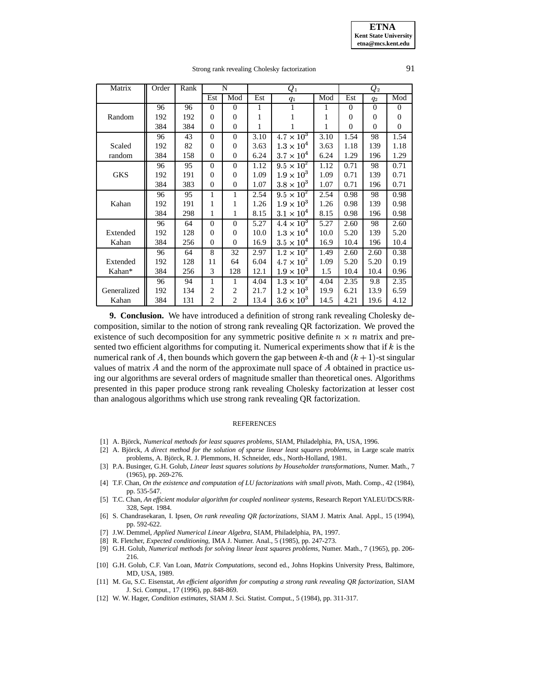**ETNA Kent State University etna@mcs.kent.edu**

# Strong rank revealing Cholesky factorization 91

| Matrix      | Order | Rank | N            |                | $\pmb Q_1$ |                              |      | $\it{Q}_2$   |                |                  |
|-------------|-------|------|--------------|----------------|------------|------------------------------|------|--------------|----------------|------------------|
|             |       |      | Est          | Mod            | Est        | $q_1$                        | Mod  | Est          | $q_2$          | Mod              |
|             | 96    | 96   | $\Omega$     | $\Omega$       | 1          | 1                            | 1    | $\Omega$     | $\overline{0}$ | $\mathbf{0}$     |
| Random      | 192   | 192  | $\Omega$     | $\overline{0}$ | 1          |                              | 1    | $\mathbf{0}$ | $\overline{0}$ | $\boldsymbol{0}$ |
|             | 384   | 384  | $\Omega$     | $\overline{0}$ | 1          |                              | 1    | $\theta$     | $\overline{0}$ | $\overline{0}$   |
|             | 96    | 43   | $\Omega$     | $\Omega$       | 3.10       | $4.7 \times \overline{10^3}$ | 3.10 | 1.54         | 98             | 1.54             |
| Scaled      | 192   | 82   | $\Omega$     | $\overline{0}$ | 3.63       | $1.3 \times 10^4$            | 3.63 | 1.18         | 139            | 1.18             |
| random      | 384   | 158  | $\Omega$     | $\Omega$       | 6.24       | $3.7 \times 10^4$            | 6.24 | 1.29         | 196            | 1.29             |
|             | 96    | 95   | $\Omega$     | $\Omega$       | 1.12       | $9.5 \times 10^{2}$          | 1.12 | 0.71         | 98             | 0.71             |
| <b>GKS</b>  | 192   | 191  | $\Omega$     | $\Omega$       | 1.09       | $1.9 \times 10^3$            | 1.09 | 0.71         | 139            | 0.71             |
|             | 384   | 383  | $\mathbf{0}$ | $\overline{0}$ | 1.07       | $3.8 \times 10^3$            | 1.07 | 0.71         | 196            | 0.71             |
|             | 96    | 95   | 1            | 1              | 2.54       | $9.5 \times 10^{2}$          | 2.54 | 0.98         | 98             | 0.98             |
| Kahan       | 192   | 191  | 1            | 1              | 1.26       | $1.9 \times 10^3$            | 1.26 | 0.98         | 139            | 0.98             |
|             | 384   | 298  | 1            | 1              | 8.15       | $3.1 \times 10^4$            | 8.15 | 0.98         | 196            | 0.98             |
|             | 96    | 64   | $\Omega$     | $\mathbf{0}$   | 5.27       | $4.4 \times 10^3$            | 5.27 | 2.60         | 98             | 2.60             |
| Extended    | 192   | 128  | $\Omega$     | $\Omega$       | 10.0       | $1.3 \times 10^{4}$          | 10.0 | 5.20         | 139            | 5.20             |
| Kahan       | 384   | 256  | $\Omega$     | $\Omega$       | 16.9       | $3.5 \times 10^4$            | 16.9 | 10.4         | 196            | 10.4             |
|             | 96    | 64   | 8            | 32             | 2.97       | $1.2 \times 10^{2}$          | 1.49 | 2.60         | 2.60           | 0.38             |
| Extended    | 192   | 128  | 11           | 64             | 6.04       | $4.7 \times 10^2$            | 1.09 | 5.20         | 5.20           | 0.19             |
| Kahan*      | 384   | 256  | 3            | 128            | 12.1       | $1.9 \times 10^3$            | 1.5  | 10.4         | 10.4           | 0.96             |
|             | 96    | 94   | 1            | 1              | 4.04       | $1.3 \times 10^2$            | 4.04 | 2.35         | 9.8            | 2.35             |
| Generalized | 192   | 134  | 2            | 2              | 21.7       | $1.2 \times 10^{3}$          | 19.9 | 6.21         | 13.9           | 6.59             |
| Kahan       | 384   | 131  | 2            | $\overline{c}$ | 13.4       | $3.6 \times 10^3$            | 14.5 | 4.21         | 19.6           | 4.12             |

**9. Conclusion.** We have introduced a definition of strong rank revealing Cholesky decomposition, similar to the notion of strong rank revealing QR factorization. We proved the existence of such decomposition for any symmetric positive definite  $n \times n$  matrix and presented two efficient algorithms for computing it. Numerical experiments show that if  $k$  is the numerical rank of A, then bounds which govern the gap between  $k$ -th and  $(k + 1)$ -st singular values of matrix  $A$  and the norm of the approximate null space of  $A$  obtained in practice using our algorithms are several orders of magnitude smaller than theoretical ones. Algorithms presented in this paper produce strong rank revealing Cholesky factorization at lesser cost than analogous algorithms which use strong rank revealing QR factorization.

### **REFERENCES**

- <span id="page-15-2"></span><span id="page-15-1"></span>[1] A. Bjorck, ¨ *Numerical methods for least squares problems*, SIAM, Philadelphia, PA, USA, 1996.
- [2] A. Björck, A direct method for the solution of sparse linear least squares problems, in Large scale matrix problems, A. Björck, R. J. Plemmons, H. Schneider, eds., North-Holland, 1981.
- <span id="page-15-7"></span>[3] P.A. Businger, G.H. Golub, *Linear least squares solutions by Householder transformations*, Numer. Math., 7 (1965), pp. 269-276.
- <span id="page-15-4"></span>[4] T.F. Chan, *On the existence and computation of LU factorizations with small pivots*, Math. Comp., 42 (1984), pp. 535-547.
- [5] T.C. Chan, *An efficient modular algorithm for coupled nonlinear systems,* Research Report YALEU/DCS/RR-328, Sept. 1984.
- <span id="page-15-5"></span>[6] S. Chandrasekaran, I. Ipsen, *On rank revealing QR factorizations,* SIAM J. Matrix Anal. Appl., 15 (1994), pp. 592-622.
- [7] J.W. Demmel, *Applied Numerical Linear Algebra*, SIAM, Philadelphia, PA, 1997.
- <span id="page-15-6"></span><span id="page-15-0"></span>[8] R. Fletcher, *Expected conditioning,* IMA J. Numer. Anal., 5 (1985), pp. 247-273.
- [9] G.H. Golub, *Numerical methods for solving linear least squares problems*, Numer. Math., 7 (1965), pp. 206- 216.
- [10] G.H. Golub, C.F. Van Loan, *Matrix Computations*, second ed., Johns Hopkins University Press, Baltimore, MD, USA, 1989.
- <span id="page-15-3"></span>[11] M. Gu, S.C. Eisenstat, *An efficient algorithm for computing a strong rank revealing QR factorization*, SIAM J. Sci. Comput., 17 (1996), pp. 848-869.
- <span id="page-15-8"></span>[12] W. W. Hager, *Condition estimates*, SIAM J. Sci. Statist. Comput., 5 (1984), pp. 311-317.